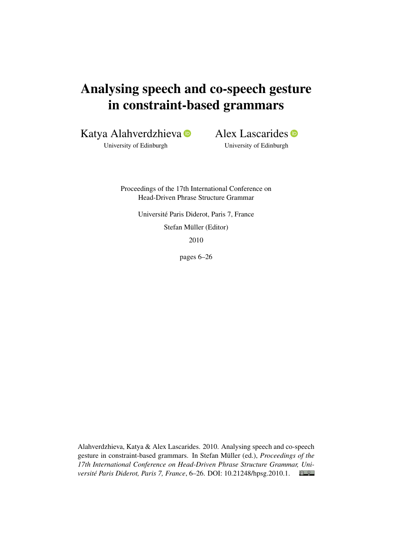# Analysing speech and co-speech gesture in constraint-based grammars

Katya Alahverdzhieva

University of Edinburgh

Alex Lascarides **D** 

University of Edinburgh

Proceedings of the 17th International Conference on Head-Driven Phrase Structure Grammar

Université Paris Diderot, Paris 7, France

Stefan Müller (Editor)

2010

pages 6–26

Alahverdzhieva, Katya & Alex Lascarides. 2010. Analysing speech and co-speech gesture in constraint-based grammars. In Stefan Müller (ed.), *Proceedings of the 17th International Conference on Head-Driven Phrase Structure Grammar, Université Paris Diderot, Paris 7, France*, 6–26. DOI: [10.21248/hpsg.2010.1.](http://doi.org/10.21248/hpsg.2010.1) $\odot$   $\odot$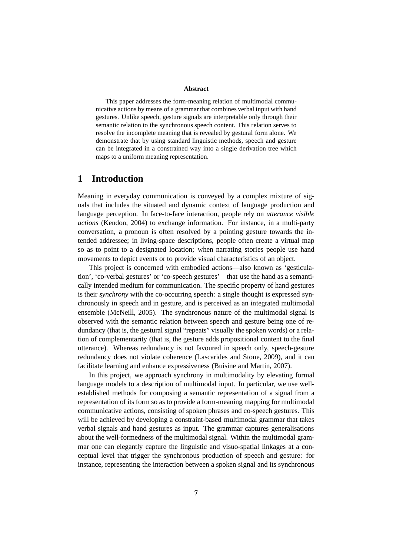#### **Abstract**

This paper addresses the form-meaning relation of multimodal communicative actions by means of a grammar that combines verbal input with hand gestures. Unlike speech, gesture signals are interpretable only through their semantic relation to the synchronous speech content. This relation serves to resolve the incomplete meaning that is revealed by gestural form alone. We demonstrate that by using standard linguistic methods, speech and gesture can be integrated in a constrained way into a single derivation tree which maps to a uniform meaning representation.

# **1 Introduction**

Meaning in everyday communication is conveyed by a complex mixture of signals that includes the situated and dynamic context of language production and language perception. In face-to-face interaction, people rely on *utterance visible actions* (Kendon, 2004) to exchange information. For instance, in a multi-party conversation, a pronoun is often resolved by a pointing gesture towards the intended addressee; in living-space descriptions, people often create a virtual map so as to point to a designated location; when narrating stories people use hand movements to depict events or to provide visual characteristics of an object.

This project is concerned with embodied actions—also known as 'gesticulation', 'co-verbal gestures' or 'co-speech gestures'—that use the hand as a semantically intended medium for communication. The specific property of hand gestures is their *synchrony* with the co-occurring speech: a single thought is expressed synchronously in speech and in gesture, and is perceived as an integrated multimodal ensemble (McNeill, 2005). The synchronous nature of the multimodal signal is observed with the semantic relation between speech and gesture being one of redundancy (that is, the gestural signal "repeats" visually the spoken words) or a relation of complementarity (that is, the gesture adds propositional content to the final utterance). Whereas redundancy is not favoured in speech only, speech-gesture redundancy does not violate coherence (Lascarides and Stone, 2009), and it can facilitate learning and enhance expressiveness (Buisine and Martin, 2007).

In this project, we approach synchrony in multimodality by elevating formal language models to a description of multimodal input. In particular, we use wellestablished methods for composing a semantic representation of a signal from a representation of its form so as to provide a form-meaning mapping for multimodal communicative actions, consisting of spoken phrases and co-speech gestures. This will be achieved by developing a constraint-based multimodal grammar that takes verbal signals and hand gestures as input. The grammar captures generalisations about the well-formedness of the multimodal signal. Within the multimodal grammar one can elegantly capture the linguistic and visuo-spatial linkages at a conceptual level that trigger the synchronous production of speech and gesture: for instance, representing the interaction between a spoken signal and its synchronous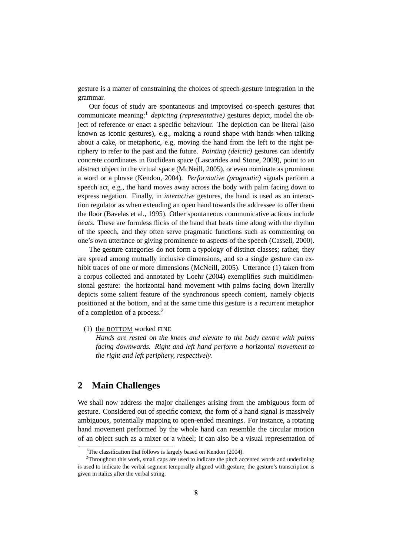gesture is a matter of constraining the choices of speech-gesture integration in the grammar.

Our focus of study are spontaneous and improvised co-speech gestures that communicate meaning:<sup>1</sup> *depicting (representative)* gestures depict, model the object of reference or enact a specific behaviour. The depiction can be literal (also known as iconic gestures), e.g., making a round shape with hands when talking about a cake, or metaphoric, e.g, moving the hand from the left to the right periphery to refer to the past and the future. *Pointing (deictic)* gestures can identify concrete coordinates in Euclidean space (Lascarides and Stone, 2009), point to an abstract object in the virtual space (McNeill, 2005), or even nominate as prominent a word or a phrase (Kendon, 2004). *Performative (pragmatic)* signals perform a speech act, e.g., the hand moves away across the body with palm facing down to express negation. Finally, in *interactive* gestures, the hand is used as an interaction regulator as when extending an open hand towards the addressee to offer them the floor (Bavelas et al., 1995). Other spontaneous communicative actions include *beats*. These are formless flicks of the hand that beats time along with the rhythm of the speech, and they often serve pragmatic functions such as commenting on one's own utterance or giving prominence to aspects of the speech (Cassell, 2000).

The gesture categories do not form a typology of distinct classes; rather, they are spread among mutually inclusive dimensions, and so a single gesture can exhibit traces of one or more dimensions (McNeill, 2005). Utterance (1) taken from a corpus collected and annotated by Loehr (2004) exemplifies such multidimensional gesture: the horizontal hand movement with palms facing down literally depicts some salient feature of the synchronous speech content, namely objects positioned at the bottom, and at the same time this gesture is a recurrent metaphor of a completion of a process.<sup>2</sup>

(1) the BOTTOM worked FINE

*Hands are rested on the knees and elevate to the body centre with palms facing downwards. Right and left hand perform a horizontal movement to the right and left periphery, respectively.*

# **2 Main Challenges**

We shall now address the major challenges arising from the ambiguous form of gesture. Considered out of specific context, the form of a hand signal is massively ambiguous, potentially mapping to open-ended meanings. For instance, a rotating hand movement performed by the whole hand can resemble the circular motion of an object such as a mixer or a wheel; it can also be a visual representation of

<sup>&</sup>lt;sup>1</sup>The classification that follows is largely based on Kendon (2004).

<sup>&</sup>lt;sup>2</sup>Throughout this work, small caps are used to indicate the pitch accented words and underlining is used to indicate the verbal segment temporally aligned with gesture; the gesture's transcription is given in italics after the verbal string.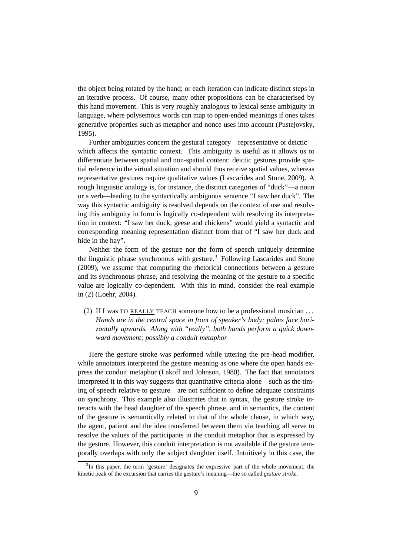the object being rotated by the hand; or each iteration can indicate distinct steps in an iterative process. Of course, many other propositions can be characterised by this hand movement. This is very roughly analogous to lexical sense ambiguity in language, where polysemous words can map to open-ended meanings if ones takes generative properties such as metaphor and nonce uses into account (Pustejovsky, 1995).

Further ambiguities concern the gestural category—representative or deictic which affects the syntactic context. This ambiguity is useful as it allows us to differentiate between spatial and non-spatial content: deictic gestures provide spatial reference in the virtual situation and should thus receive spatial values, whereas representative gestures require qualitative values (Lascarides and Stone, 2009). A rough linguistic analogy is, for instance, the distinct categories of "duck"—a noun or a verb—leading to the syntactically ambiguous sentence "I saw her duck". The way this syntactic ambiguity is resolved depends on the context of use and resolving this ambiguity in form is logically co-dependent with resolving its interpretation in context: "I saw her duck, geese and chickens" would yield a syntactic and corresponding meaning representation distinct from that of "I saw her duck and hide in the hay".

Neither the form of the gesture nor the form of speech uniquely determine the linguistic phrase synchronous with gesture.<sup>3</sup> Following Lascarides and Stone (2009), we assume that computing the rhetorical connections between a gesture and its synchronous phrase, and resolving the meaning of the gesture to a specific value are logically co-dependent. With this in mind, consider the real example in (2) (Loehr, 2004).

(2) If I was TO REALLY TEACH someone how to be a professional musician . . . *Hands are in the central space in front of speaker's body; palms face horizontally upwards. Along with "really", both hands perform a quick downward movement; possibly a conduit metaphor*

Here the gesture stroke was performed while uttering the pre-head modifier, while annotators interpreted the gesture meaning as one where the open hands express the conduit metaphor (Lakoff and Johnson, 1980). The fact that annotators interpreted it in this way suggests that quantitative criteria alone—such as the timing of speech relative to gesture—are not sufficient to define adequate constraints on synchrony. This example also illustrates that in syntax, the gesture stroke interacts with the head daughter of the speech phrase, and in semantics, the content of the gesture is semantically related to that of the whole clause, in which way, the agent, patient and the idea transferred between them via teaching all serve to resolve the values of the participants in the conduit metaphor that is expressed by the gesture. However, this conduit interpretation is not available if the gesture temporally overlaps with only the subject daughter itself. Intuitively in this case, the

<sup>&</sup>lt;sup>3</sup>In this paper, the term 'gesture' designates the expressive part of the whole movement, the kinetic peak of the excursion that carries the gesture's meaning—the so called *gesture stroke*.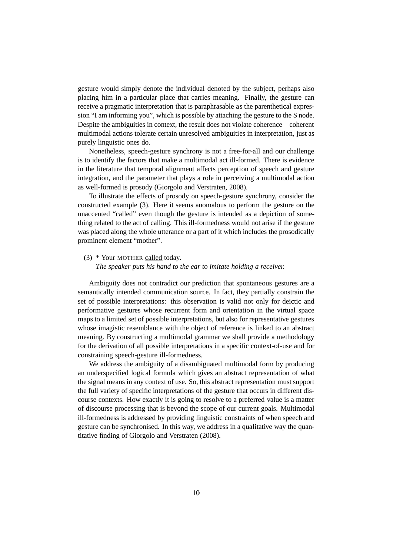gesture would simply denote the individual denoted by the subject, perhaps also placing him in a particular place that carries meaning. Finally, the gesture can receive a pragmatic interpretation that is paraphrasable as the parenthetical expression "I am informing you", which is possible by attaching the gesture to the S node. Despite the ambiguities in context, the result does not violate coherence—coherent multimodal actions tolerate certain unresolved ambiguities in interpretation, just as purely linguistic ones do.

Nonetheless, speech-gesture synchrony is not a free-for-all and our challenge is to identify the factors that make a multimodal act ill-formed. There is evidence in the literature that temporal alignment affects perception of speech and gesture integration, and the parameter that plays a role in perceiving a multimodal action as well-formed is prosody (Giorgolo and Verstraten, 2008).

To illustrate the effects of prosody on speech-gesture synchrony, consider the constructed example (3). Here it seems anomalous to perform the gesture on the unaccented "called" even though the gesture is intended as a depiction of something related to the act of calling. This ill-formedness would not arise if the gesture was placed along the whole utterance or a part of it which includes the prosodically prominent element "mother".

#### (3) \* Your MOTHER called today.

*The speaker puts his hand to the ear to imitate holding a receiver.*

Ambiguity does not contradict our prediction that spontaneous gestures are a semantically intended communication source. In fact, they partially constrain the set of possible interpretations: this observation is valid not only for deictic and performative gestures whose recurrent form and orientation in the virtual space maps to a limited set of possible interpretations, but also for representative gestures whose imagistic resemblance with the object of reference is linked to an abstract meaning. By constructing a multimodal grammar we shall provide a methodology for the derivation of all possible interpretations in a specific context-of-use and for constraining speech-gesture ill-formedness.

We address the ambiguity of a disambiguated multimodal form by producing an underspecified logical formula which gives an abstract representation of what the signal means in any context of use. So, this abstract representation must support the full variety of specific interpretations of the gesture that occurs in different discourse contexts. How exactly it is going to resolve to a preferred value is a matter of discourse processing that is beyond the scope of our current goals. Multimodal ill-formedness is addressed by providing linguistic constraints of when speech and gesture can be synchronised. In this way, we address in a qualitative way the quantitative finding of Giorgolo and Verstraten (2008).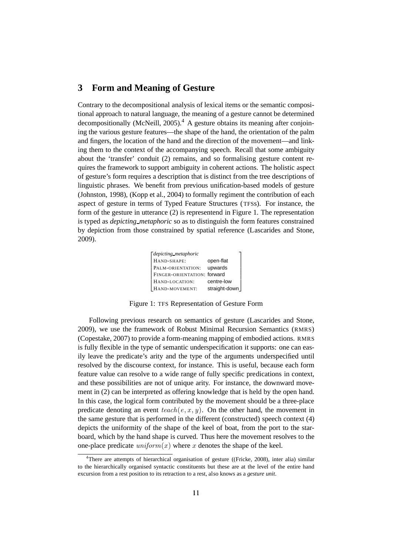# **3 Form and Meaning of Gesture**

Contrary to the decompositional analysis of lexical items or the semantic compositional approach to natural language, the meaning of a gesture cannot be determined decompositionally (McNeill, 2005).<sup>4</sup> A gesture obtains its meaning after conjoining the various gesture features—the shape of the hand, the orientation of the palm and fingers, the location of the hand and the direction of the movement—and linking them to the context of the accompanying speech. Recall that some ambiguity about the 'transfer' conduit (2) remains, and so formalising gesture content requires the framework to support ambiguity in coherent actions. The holistic aspect of gesture's form requires a description that is distinct from the tree descriptions of linguistic phrases. We benefit from previous unification-based models of gesture (Johnston, 1998), (Kopp et al., 2004) to formally regiment the contribution of each aspect of gesture in terms of Typed Feature Structures (TFSs). For instance, the form of the gesture in utterance (2) is representend in Figure 1. The representation is typed as *depicting metaphoric* so as to distinguish the form features constrained by depiction from those constrained by spatial reference (Lascarides and Stone, 2009).

| <i>depicting metaphoric</i> |               |
|-----------------------------|---------------|
| HAND-SHAPE:                 | open-flat     |
| PALM-ORIENTATION:           | upwards       |
| FINGER-ORIENTATION: forward |               |
| HAND-LOCATION:              | centre-low    |
| HAND-MOVEMENT:              | straight-down |

Figure 1: TFS Representation of Gesture Form

Following previous research on semantics of gesture (Lascarides and Stone, 2009), we use the framework of Robust Minimal Recursion Semantics (RMRS) (Copestake, 2007) to provide a form-meaning mapping of embodied actions. RMRS is fully flexible in the type of semantic underspecification it supports: one can easily leave the predicate's arity and the type of the arguments underspecified until resolved by the discourse context, for instance. This is useful, because each form feature value can resolve to a wide range of fully specific predications in context, and these possibilities are not of unique arity. For instance, the downward movement in (2) can be interpreted as offering knowledge that is held by the open hand. In this case, the logical form contributed by the movement should be a three-place predicate denoting an event  $teach(e, x, y)$ . On the other hand, the movement in the same gesture that is performed in the different (constructed) speech context (4) depicts the uniformity of the shape of the keel of boat, from the port to the starboard, which by the hand shape is curved. Thus here the movement resolves to the one-place predicate  $uniform(x)$  where x denotes the shape of the keel.

<sup>&</sup>lt;sup>4</sup>There are attempts of hierarchical organisation of gesture ((Fricke, 2008), inter alia) similar to the hierarchically organised syntactic constituents but these are at the level of the entire hand excursion from a rest position to its retraction to a rest, also knows as a *gesture unit*.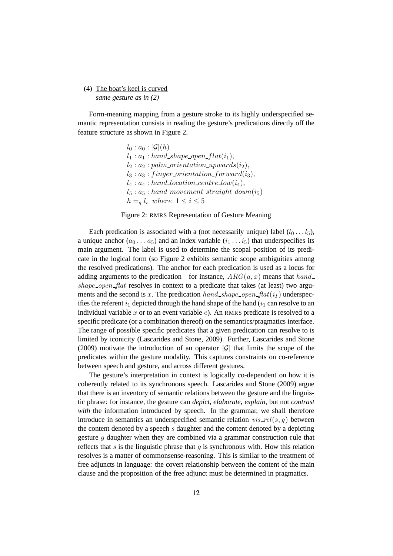## (4) The boat's keel is curved *same gesture as in (2)*

Form-meaning mapping from a gesture stroke to its highly underspecified semantic representation consists in reading the gesture's predications directly off the feature structure as shown in Figure 2.

> $l_0 : a_0 : [\mathcal{G}](h)$  $l_1 : a_1 : hand\_shape\_open\_flat(i_1),$  $l_2 : a_2 : palm\_orientation\_upwards(i_2),$  $l_3: a_3: finger\_orientation\_forward(i_3),$  $l_4: a_4: hand\_location\_centre\_low(i_4),$  $l_5 : a_5 : hand\_ movement\_straight\_down(i_5)$  $h = q l_i$  where  $1 \leq i \leq 5$



Each predication is associated with a (not necessarily unique) label  $(l_0 \ldots l_5)$ , a unique anchor  $(a_0 \ldots a_5)$  and an index variable  $(i_1 \ldots i_5)$  that underspecifies its main argument. The label is used to determine the scopal position of its predicate in the logical form (so Figure 2 exhibits semantic scope ambiguities among the resolved predications). The anchor for each predication is used as a locus for adding arguments to the predication—for instance,  $ARG(a, x)$  means that  $hand$ shape\_open\_flat resolves in context to a predicate that takes (at least) two arguments and the second is x. The predication hand\_shape\_open\_flat( $i_1$ ) underspecifies the referent  $i_1$  depicted through the hand shape of the hand  $(i_1 \text{ can resolve to an})$ individual variable  $x$  or to an event variable  $e$ ). An RMRS predicate is resolved to a specific predicate (or a combination thereof) on the semantics/pragmatics interface. The range of possible specific predicates that a given predication can resolve to is limited by iconicity (Lascarides and Stone, 2009). Further, Lascarides and Stone (2009) motivate the introduction of an operator  $|\mathcal{G}|$  that limits the scope of the predicates within the gesture modality. This captures constraints on co-reference between speech and gesture, and across different gestures.

The gesture's interpretation in context is logically co-dependent on how it is coherently related to its synchronous speech. Lascarides and Stone (2009) argue that there is an inventory of semantic relations between the gesture and the linguistic phrase: for instance, the gesture can *depict*, *elaborate*, *explain*, but not *contrast with* the information introduced by speech. In the grammar, we shall therefore introduce in semantics an underspecified semantic relation  $vis$ <sub>rel</sub>(s, g) between the content denoted by a speech s daughter and the content denoted by a depicting gesture  $q$  daughter when they are combined via a grammar construction rule that reflects that s is the linguistic phrase that q is synchronous with. How this relation resolves is a matter of commonsense-reasoning. This is similar to the treatment of free adjuncts in language: the covert relationship between the content of the main clause and the proposition of the free adjunct must be determined in pragmatics.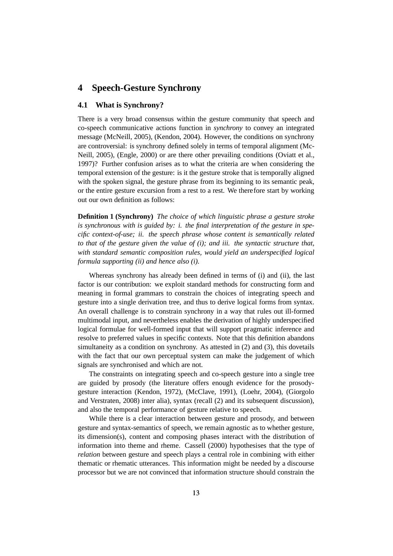## **4 Speech-Gesture Synchrony**

## **4.1 What is Synchrony?**

There is a very broad consensus within the gesture community that speech and co-speech communicative actions function in *synchrony* to convey an integrated message (McNeill, 2005), (Kendon, 2004). However, the conditions on synchrony are controversial: is synchrony defined solely in terms of temporal alignment (Mc-Neill, 2005), (Engle, 2000) or are there other prevailing conditions (Oviatt et al., 1997)? Further confusion arises as to what the criteria are when considering the temporal extension of the gesture: is it the gesture stroke that is temporally aligned with the spoken signal, the gesture phrase from its beginning to its semantic peak, or the entire gesture excursion from a rest to a rest. We therefore start by working out our own definition as follows:

**Definition 1 (Synchrony)** *The choice of which linguistic phrase a gesture stroke is synchronous with is guided by: i. the final interpretation of the gesture in specific context-of-use; ii. the speech phrase whose content is semantically related to that of the gesture given the value of (i); and iii. the syntactic structure that, with standard semantic composition rules, would yield an underspecified logical formula supporting (ii) and hence also (i).*

Whereas synchrony has already been defined in terms of (i) and (ii), the last factor is our contribution: we exploit standard methods for constructing form and meaning in formal grammars to constrain the choices of integrating speech and gesture into a single derivation tree, and thus to derive logical forms from syntax. An overall challenge is to constrain synchrony in a way that rules out ill-formed multimodal input, and nevertheless enables the derivation of highly underspecified logical formulae for well-formed input that will support pragmatic inference and resolve to preferred values in specific contexts. Note that this definition abandons simultaneity as a condition on synchrony. As attested in (2) and (3), this dovetails with the fact that our own perceptual system can make the judgement of which signals are synchronised and which are not.

The constraints on integrating speech and co-speech gesture into a single tree are guided by prosody (the literature offers enough evidence for the prosodygesture interaction (Kendon, 1972), (McClave, 1991), (Loehr, 2004), (Giorgolo and Verstraten, 2008) inter alia), syntax (recall (2) and its subsequent discussion), and also the temporal performance of gesture relative to speech.

While there is a clear interaction between gesture and prosody, and between gesture and syntax-semantics of speech, we remain agnostic as to whether gesture, its dimension(s), content and composing phases interact with the distribution of information into theme and rheme. Cassell (2000) hypothesises that the type of *relation* between gesture and speech plays a central role in combining with either thematic or rhematic utterances. This information might be needed by a discourse processor but we are not convinced that information structure should constrain the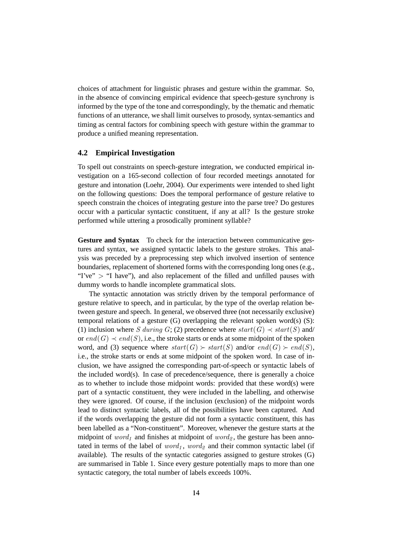choices of attachment for linguistic phrases and gesture within the grammar. So, in the absence of convincing empirical evidence that speech-gesture synchrony is informed by the type of the tone and correspondingly, by the thematic and rhematic functions of an utterance, we shall limit ourselves to prosody, syntax-semantics and timing as central factors for combining speech with gesture within the grammar to produce a unified meaning representation.

### **4.2 Empirical Investigation**

To spell out constraints on speech-gesture integration, we conducted empirical investigation on a 165-second collection of four recorded meetings annotated for gesture and intonation (Loehr, 2004). Our experiments were intended to shed light on the following questions: Does the temporal performance of gesture relative to speech constrain the choices of integrating gesture into the parse tree? Do gestures occur with a particular syntactic constituent, if any at all? Is the gesture stroke performed while uttering a prosodically prominent syllable?

**Gesture and Syntax** To check for the interaction between communicative gestures and syntax, we assigned syntactic labels to the gesture strokes. This analysis was preceded by a preprocessing step which involved insertion of sentence boundaries, replacement of shortened forms with the corresponding long ones (e.g., "I've"  $>$  "I have"), and also replacement of the filled and unfilled pauses with dummy words to handle incomplete grammatical slots.

The syntactic annotation was strictly driven by the temporal performance of gesture relative to speech, and in particular, by the type of the overlap relation between gesture and speech. In general, we observed three (not necessarily exclusive) temporal relations of a gesture  $(G)$  overlapping the relevant spoken word(s)  $(S)$ : (1) inclusion where S during G; (2) precedence where  $start(G) \prec start(S)$  and/ or  $end(G) \prec end(S)$ , i.e., the stroke starts or ends at some midpoint of the spoken word, and (3) sequence where  $start(G) \succ start(S)$  and/or  $end(G) \succ end(S)$ , i.e., the stroke starts or ends at some midpoint of the spoken word. In case of inclusion, we have assigned the corresponding part-of-speech or syntactic labels of the included word(s). In case of precedence/sequence, there is generally a choice as to whether to include those midpoint words: provided that these word(s) were part of a syntactic constituent, they were included in the labelling, and otherwise they were ignored. Of course, if the inclusion (exclusion) of the midpoint words lead to distinct syntactic labels, all of the possibilities have been captured. And if the words overlapping the gesture did not form a syntactic constituent, this has been labelled as a "Non-constituent". Moreover, whenever the gesture starts at the midpoint of  $word_1$  and finishes at midpoint of  $word_2$ , the gesture has been annotated in terms of the label of  $word_1$ ,  $word_2$  and their common syntactic label (if available). The results of the syntactic categories assigned to gesture strokes (G) are summarised in Table 1. Since every gesture potentially maps to more than one syntactic category, the total number of labels exceeds 100%.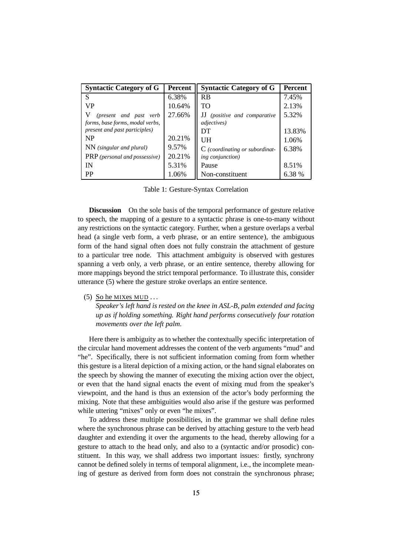| <b>Syntactic Category of G</b>       | <b>Percent</b> | <b>Syntactic Category of G</b>   | <b>Percent</b> |
|--------------------------------------|----------------|----------------------------------|----------------|
| S                                    | 6.38%          | <b>RB</b>                        | 7.45%          |
| VP                                   | 10.64%         | TO                               | 2.13%          |
| (present and past verb               | 27.66%         | (positive and comparative        | 5.32%          |
| forms, base forms, modal verbs,      |                | <i>adjectives</i> )              |                |
| present and past participles)        |                | DT                               | 13.83%         |
| <b>NP</b>                            | 20.21%         | UH                               | 1.06%          |
| $NN$ (singular and plural)           | 9.57%          | $C$ (coordinating or subordinat- | 6.38%          |
| <b>PRP</b> (personal and possessive) | 20.21%         | <i>ing conjunction</i> )         |                |
| IN                                   | 5.31%          | Pause                            | 8.51%          |
| <b>PP</b>                            | 1.06%          | Non-constituent                  | 6.38 %         |

Table 1: Gesture-Syntax Correlation

**Discussion** On the sole basis of the temporal performance of gesture relative to speech, the mapping of a gesture to a syntactic phrase is one-to-many without any restrictions on the syntactic category. Further, when a gesture overlaps a verbal head (a single verb form, a verb phrase, or an entire sentence), the ambiguous form of the hand signal often does not fully constrain the attachment of gesture to a particular tree node. This attachment ambiguity is observed with gestures spanning a verb only, a verb phrase, or an entire sentence, thereby allowing for more mappings beyond the strict temporal performance. To illustrate this, consider utterance (5) where the gesture stroke overlaps an entire sentence.

(5) So he MIXes MUD . . .

*Speaker's left hand is rested on the knee in ASL-B, palm extended and facing up as if holding something. Right hand performs consecutively four rotation movements over the left palm.*

Here there is ambiguity as to whether the contextually specific interpretation of the circular hand movement addresses the content of the verb arguments "mud" and "he". Specifically, there is not sufficient information coming from form whether this gesture is a literal depiction of a mixing action, or the hand signal elaborates on the speech by showing the manner of executing the mixing action over the object, or even that the hand signal enacts the event of mixing mud from the speaker's viewpoint, and the hand is thus an extension of the actor's body performing the mixing. Note that these ambiguities would also arise if the gesture was performed while uttering "mixes" only or even "he mixes".

To address these multiple possibilities, in the grammar we shall define rules where the synchronous phrase can be derived by attaching gesture to the verb head daughter and extending it over the arguments to the head, thereby allowing for a gesture to attach to the head only, and also to a (syntactic and/or prosodic) constituent. In this way, we shall address two important issues: firstly, synchrony cannot be defined solely in terms of temporal alignment, i.e., the incomplete meaning of gesture as derived from form does not constrain the synchronous phrase;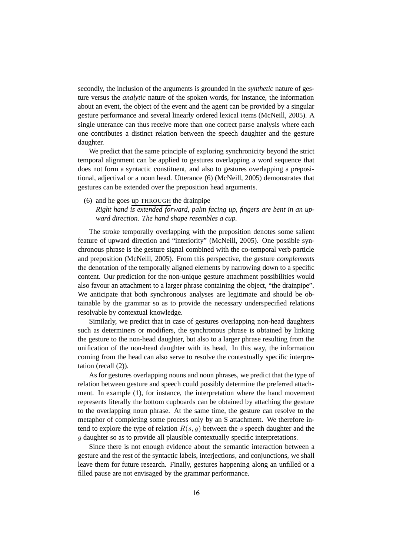secondly, the inclusion of the arguments is grounded in the *synthetic* nature of gesture versus the *analytic* nature of the spoken words, for instance, the information about an event, the object of the event and the agent can be provided by a singular gesture performance and several linearly ordered lexical items (McNeill, 2005). A single utterance can thus receive more than one correct parse analysis where each one contributes a distinct relation between the speech daughter and the gesture daughter.

We predict that the same principle of exploring synchronicity beyond the strict temporal alignment can be applied to gestures overlapping a word sequence that does not form a syntactic constituent, and also to gestures overlapping a prepositional, adjectival or a noun head. Utterance (6) (McNeill, 2005) demonstrates that gestures can be extended over the preposition head arguments.

(6) and he goes up THROUGH the drainpipe

*Right hand is extended forward, palm facing up, fingers are bent in an upward direction. The hand shape resembles a cup.*

The stroke temporally overlapping with the preposition denotes some salient feature of upward direction and "interiority" (McNeill, 2005). One possible synchronous phrase is the gesture signal combined with the co-temporal verb particle and preposition (McNeill, 2005). From this perspective, the gesture *complements* the denotation of the temporally aligned elements by narrowing down to a specific content. Our prediction for the non-unique gesture attachment possibilities would also favour an attachment to a larger phrase containing the object, "the drainpipe". We anticipate that both synchronous analyses are legitimate and should be obtainable by the grammar so as to provide the necessary underspecified relations resolvable by contextual knowledge.

Similarly, we predict that in case of gestures overlapping non-head daughters such as determiners or modifiers, the synchronous phrase is obtained by linking the gesture to the non-head daughter, but also to a larger phrase resulting from the unification of the non-head daughter with its head. In this way, the information coming from the head can also serve to resolve the contextually specific interpretation (recall (2)).

As for gestures overlapping nouns and noun phrases, we predict that the type of relation between gesture and speech could possibly determine the preferred attachment. In example (1), for instance, the interpretation where the hand movement represents literally the bottom cupboards can be obtained by attaching the gesture to the overlapping noun phrase. At the same time, the gesture can resolve to the metaphor of completing some process only by an S attachment. We therefore intend to explore the type of relation  $R(s, g)$  between the s speech daughter and the g daughter so as to provide all plausible contextually specific interpretations.

Since there is not enough evidence about the semantic interaction between a gesture and the rest of the syntactic labels, interjections, and conjunctions, we shall leave them for future research. Finally, gestures happening along an unfilled or a filled pause are not envisaged by the grammar performance.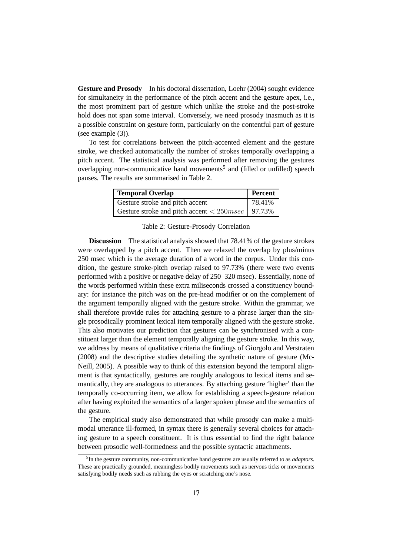**Gesture and Prosody** In his doctoral dissertation, Loehr (2004) sought evidence for simultaneity in the performance of the pitch accent and the gesture apex, i.e., the most prominent part of gesture which unlike the stroke and the post-stroke hold does not span some interval. Conversely, we need prosody inasmuch as it is a possible constraint on gesture form, particularly on the contentful part of gesture (see example (3)).

To test for correlations between the pitch-accented element and the gesture stroke, we checked automatically the number of strokes temporally overlapping a pitch accent. The statistical analysis was performed after removing the gestures overlapping non-communicative hand movements<sup>5</sup> and (filled or unfilled) speech pauses. The results are summarised in Table 2.

| <b>Temporal Overlap</b>                                      | <b>Percent</b> |
|--------------------------------------------------------------|----------------|
| Gesture stroke and pitch accent                              | 78.41%         |
| Gesture stroke and pitch accent $<$ 250 <i>msec</i>   97.73% |                |

Table 2: Gesture-Prosody Correlation

**Discussion** The statistical analysis showed that 78.41% of the gesture strokes were overlapped by a pitch accent. Then we relaxed the overlap by plus/minus 250 msec which is the average duration of a word in the corpus. Under this condition, the gesture stroke-pitch overlap raised to 97.73% (there were two events performed with a positive or negative delay of 250–320 msec). Essentially, none of the words performed within these extra miliseconds crossed a constituency boundary: for instance the pitch was on the pre-head modifier or on the complement of the argument temporally aligned with the gesture stroke. Within the grammar, we shall therefore provide rules for attaching gesture to a phrase larger than the single prosodically prominent lexical item temporally aligned with the gesture stroke. This also motivates our prediction that gestures can be synchronised with a constituent larger than the element temporally aligning the gesture stroke. In this way, we address by means of qualitative criteria the findings of Giorgolo and Verstraten (2008) and the descriptive studies detailing the synthetic nature of gesture (Mc-Neill, 2005). A possible way to think of this extension beyond the temporal alignment is that syntactically, gestures are roughly analogous to lexical items and semantically, they are analogous to utterances. By attaching gesture 'higher' than the temporally co-occurring item, we allow for establishing a speech-gesture relation after having exploited the semantics of a larger spoken phrase and the semantics of the gesture.

The empirical study also demonstrated that while prosody can make a multimodal utterance ill-formed, in syntax there is generally several choices for attaching gesture to a speech constituent. It is thus essential to find the right balance between prosodic well-formedness and the possible syntactic attachments.

<sup>5</sup> In the gesture community, non-communicative hand gestures are usually referred to as *adaptors*. These are practically grounded, meaningless bodily movements such as nervous ticks or movements satisfying bodily needs such as rubbing the eyes or scratching one's nose.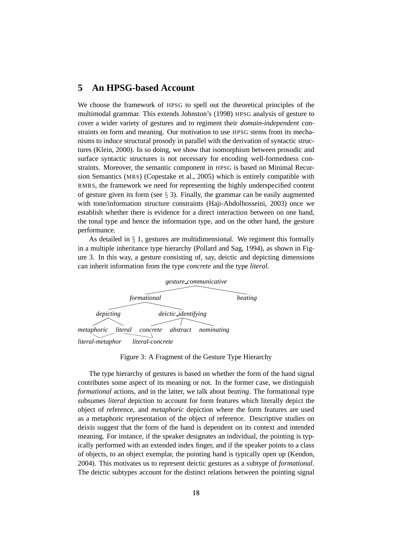# **5 An HPSG-based Account**

We choose the framework of HPSG to spell out the theoretical principles of the multimodal grammar. This extends Johnston's (1998) HPSG analysis of gesture to cover a wider variety of gestures and to regiment their *domain-independent* constraints on form and meaning. Our motivation to use HPSG stems from its mechanisms to induce structural prosody in parallel with the derivation of syntactic structures (Klein, 2000). In so doing, we show that isomorphism between prosodic and surface syntactic structures is not necessary for encoding well-formedness constraints. Moreover, the semantic component in HPSG is based on Minimal Recursion Semantics (MRS) (Copestake et al., 2005) which is entirely compatible with RMRS, the framework we need for representing the highly underspecified content of gesture given its form (see  $\S$  3). Finally, the grammar can be easily augmented with tone/information structure constraints (Haji-Abdolhosseini, 2003) once we establish whether there is evidence for a direct interaction between on one hand, the tonal type and hence the information type, and on the other hand, the gesture performance.

As detailed in  $\S$  1, gestures are multidimensional. We regiment this formally in a multiple inheritance type hierarchy (Pollard and Sag, 1994), as shown in Figure 3. In this way, a gesture consisting of, say, deictic and depicting dimensions can inherit information from the type *concrete* and the type *literal*.



Figure 3: A Fragment of the Gesture Type Hierarchy

The type hierarchy of gestures is based on whether the form of the hand signal contributes some aspect of its meaning or not. In the former case, we distinguish *formational* actions, and in the latter, we talk about *beating*. The formational type subsumes *literal* depiction to account for form features which literally depict the object of reference, and *metaphoric* depiction where the form features are used as a metaphoric representation of the object of reference. Descriptive studies on deixis suggest that the form of the hand is dependent on its context and intended meaning. For instance, if the speaker designates an individual, the pointing is typically performed with an extended index finger, and if the speaker points to a class of objects, to an object exemplar, the pointing hand is typically open up (Kendon, 2004). This motivates us to represent deictic gestures as a subtype of *formational*. The deictic subtypes account for the distinct relations between the pointing signal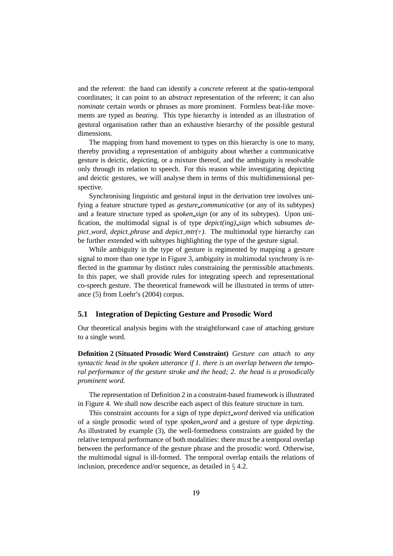and the referent: the hand can identify a *concrete* referent at the spatio-temporal coordinates; it can point to an *abstract* representation of the referent; it can also *nominate* certain words or phrases as more prominent. Formless beat-like movements are typed as *beating*. This type hierarchy is intended as an illustration of gestural organisation rather than an exhaustive hierarchy of the possible gestural dimensions.

The mapping from hand movement to types on this hierarchy is one to many, thereby providing a representation of ambiguity about whether a communicative gesture is deictic, depicting, or a mixture thereof, and the ambiguity is resolvable only through its relation to speech. For this reason while investigating depicting and deictic gestures, we will analyse them in terms of this multidimensional perspective.

Synchronising linguistic and gestural input in the derivation tree involves unifying a feature structure typed as *gesture communicative* (or any of its subtypes) and a feature structure typed as *spoken\_sign* (or any of its subtypes). Upon unification, the multimodal signal is of type *depict(ing) sign* which subsumes *depict word, depict phrase* and *depict*  $mtr(\tau)$ *. The multimodal type hierarchy can* be further extended with subtypes highlighting the type of the gesture signal.

While ambiguity in the type of gesture is regimented by mapping a gesture signal to more than one type in Figure 3, ambiguity in multimodal synchrony is reflected in the grammar by distinct rules constraining the permissible attachments. In this paper, we shall provide rules for integrating speech and representational co-speech gesture. The theoretical framework will be illustrated in terms of utterance (5) from Loehr's (2004) corpus.

## **5.1 Integration of Depicting Gesture and Prosodic Word**

Our theoretical analysis begins with the straightforward case of attaching gesture to a single word.

**Definition 2 (Situated Prosodic Word Constraint)** *Gesture can attach to any syntactic head in the spoken utterance if 1. there is an overlap between the temporal performance of the gesture stroke and the head; 2. the head is a prosodically prominent word.*

The representation of Definition 2 in a constraint-based framework is illustrated in Figure 4. We shall now describe each aspect of this feature structure in turn.

This constraint accounts for a sign of type *depict word* derived via unification of a single prosodic word of type *spoken word* and a gesture of type *depicting*. As illustrated by example (3), the well-formedness constraints are guided by the relative temporal performance of both modalities: there must be a temporal overlap between the performance of the gesture phrase and the prosodic word. Otherwise, the multimodal signal is ill-formed. The temporal overlap entails the relations of inclusion, precedence and/or sequence, as detailed in § 4.2.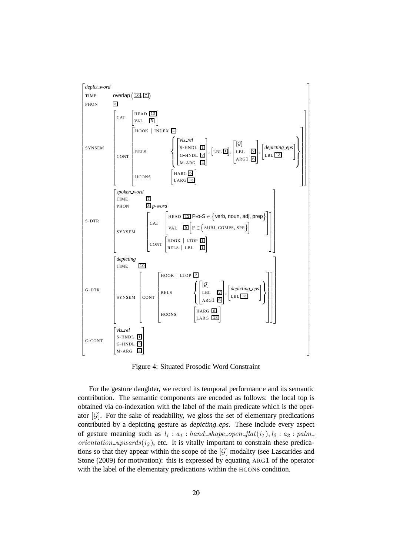

Figure 4: Situated Prosodic Word Constraint

For the gesture daughter, we record its temporal performance and its semantic contribution. The semantic components are encoded as follows: the local top is obtained via co-indexation with the label of the main predicate which is the operator  $[\mathcal{G}]$ . For the sake of readability, we gloss the set of elementary predications contributed by a depicting gesture as *depicting eps*. These include every aspect of gesture meaning such as  $l_1 : a_1 : hand\_shape\_open\_flat(i_1), l_2 : a_2 : palm\_set$ orientation upwards $(i_2)$ , etc. It is vitally important to constrain these predications so that they appear within the scope of the  $|\mathcal{G}|$  modality (see Lascarides and Stone (2009) for motivation): this is expressed by equating ARG1 of the operator with the label of the elementary predications within the HCONS condition.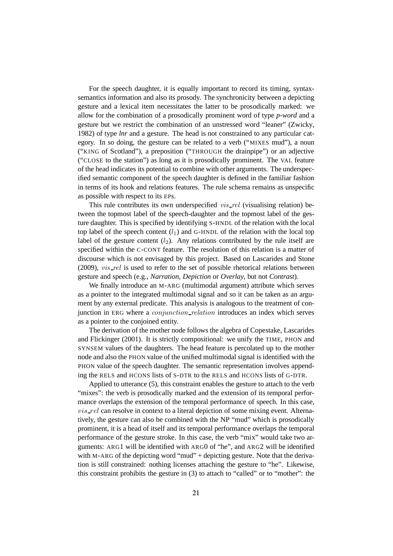For the speech daughter, it is equally important to record its timing, syntaxsemantics information and also its prosody. The synchronicity between a depicting gesture and a lexical item necessitates the latter to be prosodically marked: we allow for the combination of a prosodically prominent word of type *p-word* and a gesture but we restrict the combination of an unstressed word "leaner" (Zwicky, 1982) of type *lnr* and a gesture. The head is not constrained to any particular category. In so doing, the gesture can be related to a verb ("MIXES mud"), a noun ("KING of Scotland"), a preposition ("THROUGH the drainpipe") or an adjective ("CLOSE to the station") as long as it is prosodically prominent. The VAL feature of the head indicates its potential to combine with other arguments. The underspecified semantic component of the speech daughter is defined in the familiar fashion in terms of its hook and relations features. The rule schema remains as unspecific as possible with respect to its EPs.

This rule contributes its own underspecified *vis\_rel* (visualising relation) between the topmost label of the speech-daughter and the topmost label of the gesture daughter. This is specified by identifying S-HNDL of the relation with the local top label of the speech content  $(l_1)$  and G-HNDL of the relation with the local top label of the gesture content  $(l_2)$ . Any relations contributed by the rule itself are specified within the C-CONT feature. The resolution of this relation is a matter of discourse which is not envisaged by this project. Based on Lascarides and Stone (2009),  $vis$ -rel is used to refer to the set of possible rhetorical relations between gesture and speech (e.g., *Narration, Depiction* or *Overlay*, but not *Contrast*).

We finally introduce an M-ARG (multimodal argument) attribute which serves as a pointer to the integrated multimodal signal and so it can be taken as an argument by any external predicate. This analysis is analogous to the treatment of conjunction in ERG where a *conjunction\_relation* introduces an index which serves as a pointer to the conjoined entity.

The derivation of the mother node follows the algebra of Copestake, Lascarides and Flickinger (2001). It is strictly compositional: we unify the TIME, PHON and SYNSEM values of the daughters. The head feature is percolated up to the mother node and also the PHON value of the unified multimodal signal is identified with the PHON value of the speech daughter. The semantic representation involves appending the RELS and HCONS lists of S-DTR to the RELS and HCONS lists of G-DTR.

Applied to utterance (5), this constraint enables the gesture to attach to the verb "mixes": the verb is prosodically marked and the extension of its temporal performance overlaps the extension of the temporal performance of speech. In this case,  $vis$ rel can resolve in context to a literal depiction of some mixing event. Alternatively, the gesture can also be combined with the NP "mud" which is prosodically prominent, it is a head of itself and its temporal performance overlaps the temporal performance of the gesture stroke. In this case, the verb "mix" would take two arguments: ARG1 will be identified with ARG0 of "he", and ARG2 will be identified with M-ARG of the depicting word "mud" + depicting gesture. Note that the derivation is still constrained: nothing licenses attaching the gesture to "he". Likewise, this constraint prohibits the gesture in (3) to attach to "called" or to "mother": the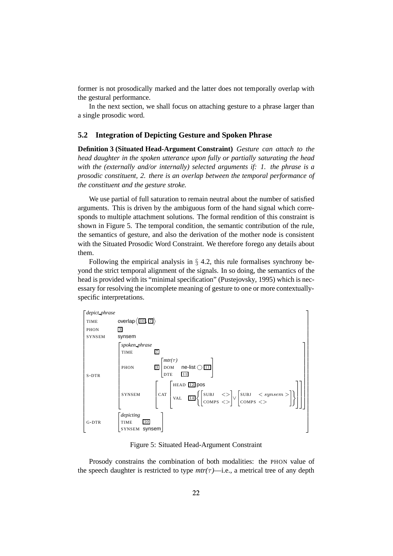former is not prosodically marked and the latter does not temporally overlap with the gestural performance.

In the next section, we shall focus on attaching gesture to a phrase larger than a single prosodic word.

#### **5.2 Integration of Depicting Gesture and Spoken Phrase**

**Definition 3 (Situated Head-Argument Constraint)** *Gesture can attach to the head daughter in the spoken utterance upon fully or partially saturating the head with the (externally and/or internally) selected arguments if: 1. the phrase is a prosodic constituent, 2. there is an overlap between the temporal performance of the constituent and the gesture stroke.*

We use partial of full saturation to remain neutral about the number of satisfied arguments. This is driven by the ambiguous form of the hand signal which corresponds to multiple attachment solutions. The formal rendition of this constraint is shown in Figure 5. The temporal condition, the semantic contribution of the rule, the semantics of gesture, and also the derivation of the mother node is consistent with the Situated Prosodic Word Constraint. We therefore forego any details about them.

Following the empirical analysis in  $\S$  4.2, this rule formalises synchrony beyond the strict temporal alignment of the signals. In so doing, the semantics of the head is provided with its "minimal specification" (Pustejovsky, 1995) which is necessary for resolving the incomplete meaning of gesture to one or more contextuallyspecific interpretations.



Figure 5: Situated Head-Argument Constraint

Prosody constrains the combination of both modalities: the PHON value of the speech daughter is restricted to type  $mtr(\tau)$ —i.e., a metrical tree of any depth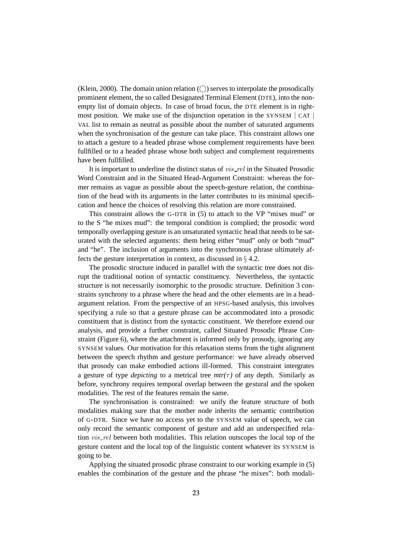(Klein, 2000). The domain union relation  $(\bigcap)$  serves to interpolate the prosodically prominent element, the so called Designated Terminal Element (DTE), into the nonempty list of domain objects. In case of broad focus, the DTE element is in rightmost position. We make use of the disjunction operation in the SYNSEM | CAT | VAL list to remain as neutral as possible about the number of saturated arguments when the synchronisation of the gesture can take place. This constraint allows one to attach a gesture to a headed phrase whose complement requirements have been fullfilled or to a headed phrase whose both subject and complement requirements have been fullfilled.

It is important to underline the distinct status of vis\_rel in the Situated Prosodic Word Constraint and in the Situated Head-Argument Constraint: whereas the former remains as vague as possible about the speech-gesture relation, the combination of the head with its arguments in the latter contributes to its minimal specification and hence the choices of resolving this relation are more constrained.

This constraint allows the G-DTR in (5) to attach to the VP "mixes mud" or to the S "he mixes mud": the temporal condition is complied; the prosodic word temporally overlapping gesture is an unsaturated syntactic head that needs to be saturated with the selected arguments: them being either "mud" only or both "mud" and "he". The inclusion of arguments into the synchronous phrase ultimately affects the gesture interpretation in context, as discussed in § 4.2.

The prosodic structure induced in parallel with the syntactic tree does not disrupt the traditional notion of syntactic constituency. Nevertheless, the syntactic structure is not necessarily isomorphic to the prosodic structure. Definition 3 constrains synchrony to a phrase where the head and the other elements are in a headargument relation. From the perspective of an HPSG-based analysis, this involves specifying a rule so that a gesture phrase can be accommodated into a prosodic constituent that is distinct from the syntactic constituent. We therefore extend our analysis, and provide a further constraint, called Situated Prosodic Phrase Constraint (Figure 6), where the attachment is informed only by prosody, ignoring any SYNSEM values. Our motivation for this relaxation stems from the tight alignment between the speech rhythm and gesture performance: we have already observed that prosody can make embodied actions ill-formed. This constraint intergrates a gesture of type *depicting* to a metrical tree  $mtr(\tau)$  of any depth. Similarly as before, synchrony requires temporal overlap between the gestural and the spoken modalities. The rest of the features remain the same.

The synchronisation is constrained: we unify the feature structure of both modalities making sure that the mother node inherits the semantic contribution of G-DTR. Since we have no access yet to the SYNSEM value of speech, we can only record the semantic component of gesture and add an underspecified relation *vis\_rel* between both modalities. This relation outscopes the local top of the gesture content and the local top of the linguistic content whatever its SYNSEM is going to be.

Applying the situated prosodic phrase constraint to our working example in (5) enables the combination of the gesture and the phrase "he mixes": both modali-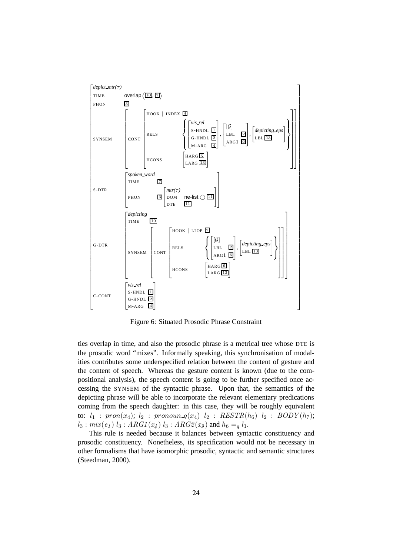

Figure 6: Situated Prosodic Phrase Constraint

ties overlap in time, and also the prosodic phrase is a metrical tree whose DTE is the prosodic word "mixes". Informally speaking, this synchronisation of modalities contributes some underspecified relation between the content of gesture and the content of speech. Whereas the gesture content is known (due to the compositional analysis), the speech content is going to be further specified once accessing the SYNSEM of the syntactic phrase. Upon that, the semantics of the depicting phrase will be able to incorporate the relevant elementary predications coming from the speech daughter: in this case, they will be roughly equivalent to:  $l_1$  :  $pron(x_4)$ ;  $l_2$  :  $pronoun_q(x_4)$   $l_2$  :  $RESTR(h_6)$   $l_2$  :  $BODY(h_7)$ ;  $l_3: mix(e_1) l_3: ARG1(x_4) l_3: ARG2(x_9)$  and  $h_6 =_q l_1$ .

This rule is needed because it balances between syntactic constituency and prosodic constituency. Nonetheless, its specification would not be necessary in other formalisms that have isomorphic prosodic, syntactic and semantic structures (Steedman, 2000).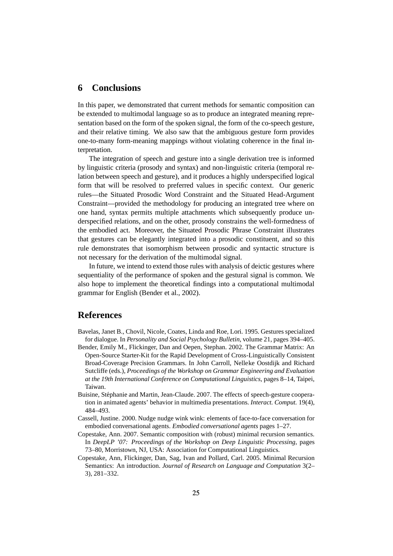## **6 Conclusions**

In this paper, we demonstrated that current methods for semantic composition can be extended to multimodal language so as to produce an integrated meaning representation based on the form of the spoken signal, the form of the co-speech gesture, and their relative timing. We also saw that the ambiguous gesture form provides one-to-many form-meaning mappings without violating coherence in the final interpretation.

The integration of speech and gesture into a single derivation tree is informed by linguistic criteria (prosody and syntax) and non-linguistic criteria (temporal relation between speech and gesture), and it produces a highly underspecified logical form that will be resolved to preferred values in specific context. Our generic rules—the Situated Prosodic Word Constraint and the Situated Head-Argument Constraint—provided the methodology for producing an integrated tree where on one hand, syntax permits multiple attachments which subsequently produce underspecified relations, and on the other, prosody constrains the well-formedness of the embodied act. Moreover, the Situated Prosodic Phrase Constraint illustrates that gestures can be elegantly integrated into a prosodic constituent, and so this rule demonstrates that isomorphism between prosodic and syntactic structure is not necessary for the derivation of the multimodal signal.

In future, we intend to extend those rules with analysis of deictic gestures where sequentiality of the performance of spoken and the gestural signal is common. We also hope to implement the theoretical findings into a computational multimodal grammar for English (Bender et al., 2002).

# **References**

- Bavelas, Janet B., Chovil, Nicole, Coates, Linda and Roe, Lori. 1995. Gestures specialized for dialogue. In *Personality and Social Psychology Bulletin*, volume 21, pages 394–405.
- Bender, Emily M., Flickinger, Dan and Oepen, Stephan. 2002. The Grammar Matrix: An Open-Source Starter-Kit for the Rapid Development of Cross-Linguistically Consistent Broad-Coverage Precision Grammars. In John Carroll, Nelleke Oostdijk and Richard Sutcliffe (eds.), *Proceedings of the Workshop on Grammar Engineering and Evaluation at the 19th International Conference on Computational Linguistics*, pages 8–14, Taipei, Taiwan.
- Buisine, Stéphanie and Martin, Jean-Claude, 2007. The effects of speech-gesture cooperation in animated agents' behavior in multimedia presentations. *Interact. Comput.* 19(4), 484–493.
- Cassell, Justine. 2000. Nudge nudge wink wink: elements of face-to-face conversation for embodied conversational agents. *Embodied conversational agents* pages 1–27.
- Copestake, Ann. 2007. Semantic composition with (robust) minimal recursion semantics. In *DeepLP '07: Proceedings of the Workshop on Deep Linguistic Processing*, pages 73–80, Morristown, NJ, USA: Association for Computational Linguistics.
- Copestake, Ann, Flickinger, Dan, Sag, Ivan and Pollard, Carl. 2005. Minimal Recursion Semantics: An introduction. *Journal of Research on Language and Computation* 3(2– 3), 281–332.